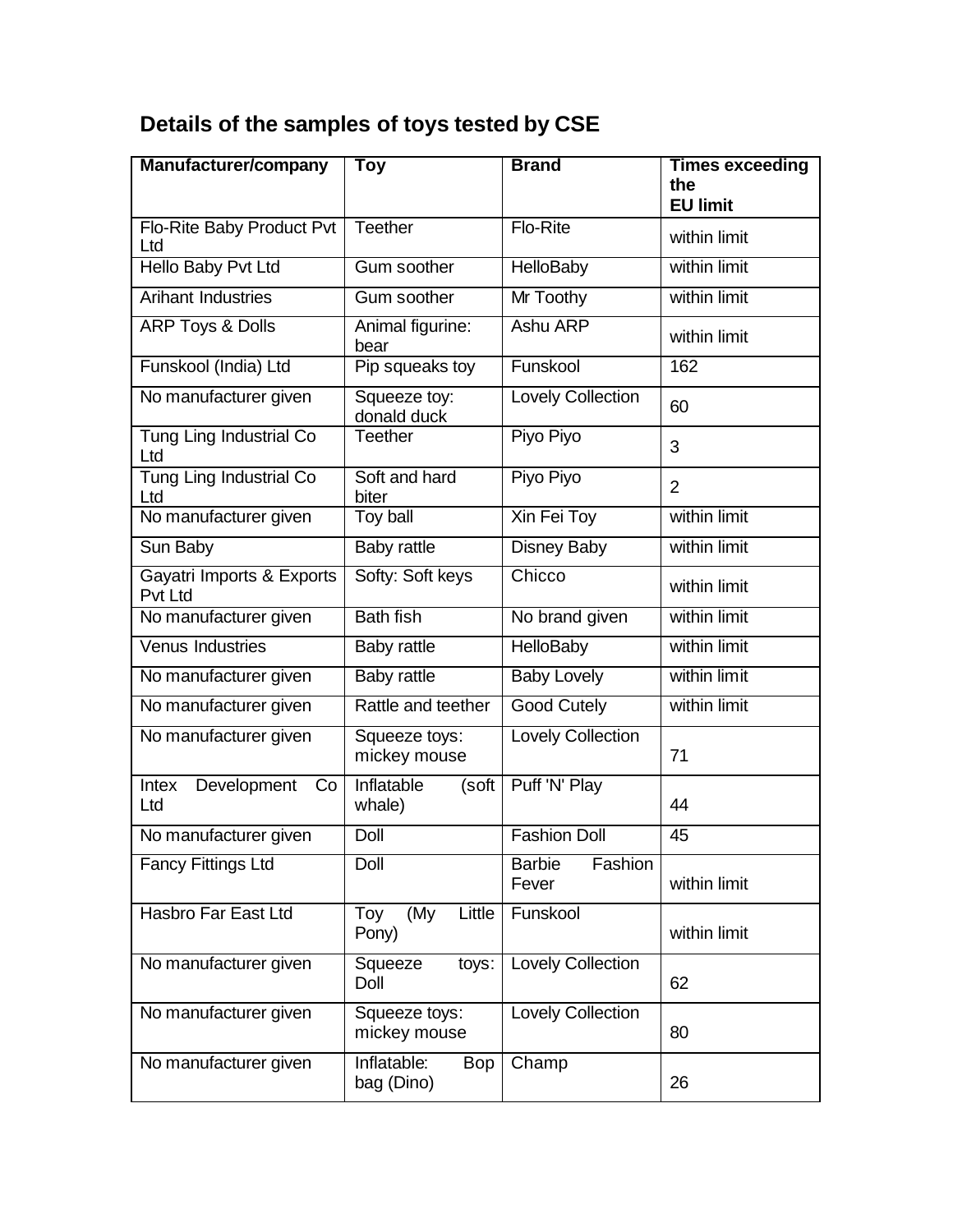## **Details of the samples of toys tested by CSE**

| <b>Manufacturer/company</b>           | Toy                                     | <b>Brand</b>                      | <b>Times exceeding</b><br>the<br><b>EU limit</b> |
|---------------------------------------|-----------------------------------------|-----------------------------------|--------------------------------------------------|
| Flo-Rite Baby Product Pvt<br>Ltd      | Teether                                 | Flo-Rite                          | within limit                                     |
| Hello Baby Pvt Ltd                    | Gum soother                             | <b>HelloBaby</b>                  | within limit                                     |
| <b>Arihant Industries</b>             | Gum soother                             | Mr Toothy                         | within limit                                     |
| <b>ARP Toys &amp; Dolls</b>           | Animal figurine:<br>bear                | Ashu ARP                          | within limit                                     |
| Funskool (India) Ltd                  | Pip squeaks toy                         | Funskool                          | 162                                              |
| No manufacturer given                 | Squeeze toy:<br>donald duck             | Lovely Collection                 | 60                                               |
| <b>Tung Ling Industrial Co</b><br>Ltd | <b>Teether</b>                          | Piyo Piyo                         | 3                                                |
| Tung Ling Industrial Co<br>Ltd        | Soft and hard<br>biter                  | Piyo Piyo                         | $\overline{2}$                                   |
| No manufacturer given                 | Toy ball                                | Xin Fei Toy                       | within limit                                     |
| Sun Baby                              | Baby rattle                             | <b>Disney Baby</b>                | within limit                                     |
| Gayatri Imports & Exports<br>Pvt Ltd  | Softy: Soft keys                        | Chicco                            | within limit                                     |
| No manufacturer given                 | <b>Bath fish</b>                        | No brand given                    | within limit                                     |
| Venus Industries                      | Baby rattle                             | <b>HelloBaby</b>                  | within limit                                     |
| No manufacturer given                 | <b>Baby rattle</b>                      | <b>Baby Lovely</b>                | within limit                                     |
| No manufacturer given                 | Rattle and teether                      | <b>Good Cutely</b>                | within limit                                     |
| No manufacturer given                 | Squeeze toys:<br>mickey mouse           | <b>Lovely Collection</b>          | 71                                               |
| Intex<br>Development<br>Co<br>Ltd     | <b>Inflatable</b><br>(soft<br>whale)    | Puff 'N' Play                     | 44                                               |
| No manufacturer given                 | Doll                                    | <b>Fashion Doll</b>               | 45                                               |
| Fancy Fittings Ltd                    | Doll                                    | <b>Barbie</b><br>Fashion<br>Fever | within limit                                     |
| Hasbro Far East Ltd                   | (My<br>Little<br>Toy<br>Pony)           | Funskool                          | within limit                                     |
| No manufacturer given                 | Squeeze<br>toys:<br>Doll                | Lovely Collection                 | 62                                               |
| No manufacturer given                 | Squeeze toys:<br>mickey mouse           | Lovely Collection                 | 80                                               |
| No manufacturer given                 | Inflatable:<br><b>Bop</b><br>bag (Dino) | Champ                             | 26                                               |